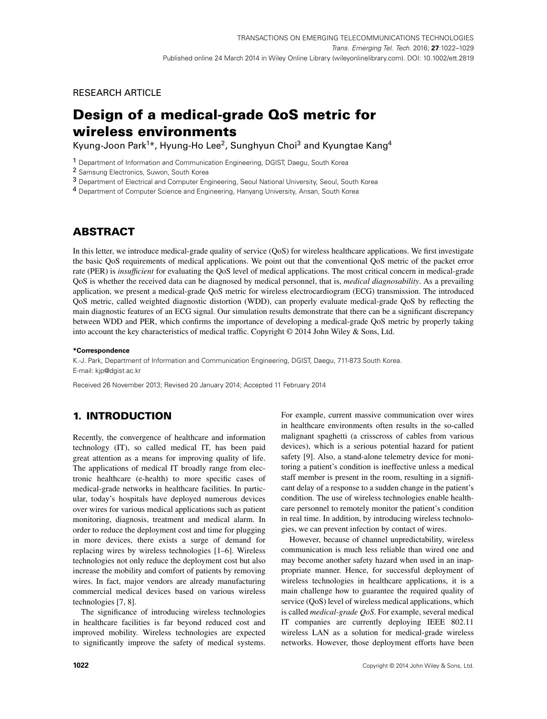# RESEARCH ARTICLE

# **Design of a medical-grade QoS metric for wireless environments**

Kyung-Joon Park<sup>1</sup>\*, Hyung-Ho Lee<sup>2</sup>, Sunghyun Choi<sup>3</sup> and Kyungtae Kang<sup>4</sup>

1 Department of Information and Communication Engineering, DGIST, Daegu, South Korea

2 Samsung Electronics, Suwon, South Korea

3 Department of Electrical and Computer Engineering, Seoul National University, Seoul, South Korea

4 Department of Computer Science and Engineering, Hanyang University, Ansan, South Korea

# **ABSTRACT**

In this letter, we introduce medical-grade quality of service (QoS) for wireless healthcare applications. We first investigate the basic QoS requirements of medical applications. We point out that the conventional QoS metric of the packet error rate (PER) is *insufficient* for evaluating the QoS level of medical applications. The most critical concern in medical-grade QoS is whether the received data can be diagnosed by medical personnel, that is, *medical diagnosability*. As a prevailing application, we present a medical-grade QoS metric for wireless electrocardiogram (ECG) transmission. The introduced QoS metric, called weighted diagnostic distortion (WDD), can properly evaluate medical-grade QoS by reflecting the main diagnostic features of an ECG signal. Our simulation results demonstrate that there can be a significant discrepancy between WDD and PER, which confirms the importance of developing a medical-grade QoS metric by properly taking into account the key characteristics of medical traffic. Copyright © 2014 John Wiley & Sons, Ltd.

#### **\*Correspondence**

K.-J. Park, Department of Information and Communication Engineering, DGIST, Daegu, 711-873 South Korea. E-mail: kjp@dgist.ac.kr

Received 26 November 2013; Revised 20 January 2014; Accepted 11 February 2014

# <span id="page-0-0"></span>**1. INTRODUCTION**

Recently, the convergence of healthcare and information technology (IT), so called medical IT, has been paid great attention as a means for improving quality of life. The applications of medical IT broadly range from electronic healthcare (e-health) to more specific cases of medical-grade networks in healthcare facilities. In particular, today's hospitals have deployed numerous devices over wires for various medical applications such as patient monitoring, diagnosis, treatment and medical alarm. In order to reduce the deployment cost and time for plugging in more devices, there exists a surge of demand for replacing wires by wireless technologies [\[1–](#page-7-1)[6\]](#page-7-2). Wireless technologies not only reduce the deployment cost but also increase the mobility and comfort of patients by removing wires. In fact, major vendors are already manufacturing commercial medical devices based on various wireless technologies [\[7,](#page-7-3) [8\]](#page-7-4).

The significance of introducing wireless technologies in healthcare facilities is far beyond reduced cost and improved mobility. Wireless technologies are expected to significantly improve the safety of medical systems. For example, current massive communication over wires in healthcare environments often results in the so-called malignant spaghetti (a crisscross of cables from various devices), which is a serious potential hazard for patient safety [\[9\]](#page-7-5). Also, a stand-alone telemetry device for monitoring a patient's condition is ineffective unless a medical staff member is present in the room, resulting in a significant delay of a response to a sudden change in the patient's condition. The use of wireless technologies enable healthcare personnel to remotely monitor the patient's condition in real time. In addition, by introducing wireless technologies, we can prevent infection by contact of wires.

However, because of channel unpredictability, wireless communication is much less reliable than wired one and may become another safety hazard when used in an inappropriate manner. Hence, for successful deployment of wireless technologies in healthcare applications, it is a main challenge how to guarantee the required quality of service (QoS) level of wireless medical applications, which is called *medical-grade QoS*. For example, several medical IT companies are currently deploying IEEE 802.11 wireless LAN as a solution for medical-grade wireless networks. However, those deployment efforts have been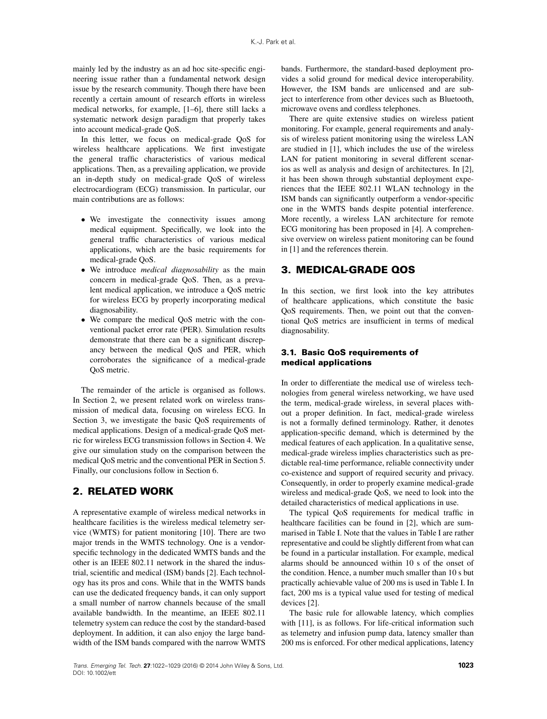mainly led by the industry as an ad hoc site-specific engineering issue rather than a fundamental network design issue by the research community. Though there have been recently a certain amount of research efforts in wireless medical networks, for example, [\[1–](#page-7-1)[6\]](#page-7-2), there still lacks a systematic network design paradigm that properly takes into account medical-grade QoS.

In this letter, we focus on medical-grade QoS for wireless healthcare applications. We first investigate the general traffic characteristics of various medical applications. Then, as a prevailing application, we provide an in-depth study on medical-grade QoS of wireless electrocardiogram (ECG) transmission. In particular, our main contributions are as follows:

- We investigate the connectivity issues among medical equipment. Specifically, we look into the general traffic characteristics of various medical applications, which are the basic requirements for medical-grade QoS.
- We introduce *medical diagnosability* as the main concern in medical-grade QoS. Then, as a prevalent medical application, we introduce a QoS metric for wireless ECG by properly incorporating medical diagnosability.
- We compare the medical QoS metric with the conventional packet error rate (PER). Simulation results demonstrate that there can be a significant discrepancy between the medical QoS and PER, which corroborates the significance of a medical-grade QoS metric.

The remainder of the article is organised as follows. In Section [2,](#page-1-0) we present related work on wireless transmission of medical data, focusing on wireless ECG. In Section [3,](#page-1-1) we investigate the basic QoS requirements of medical applications. Design of a medical-grade QoS metric for wireless ECG transmission follows in Section [4.](#page-2-0) We give our simulation study on the comparison between the medical QoS metric and the conventional PER in Section [5.](#page-4-0) Finally, our conclusions follow in Section [6.](#page-6-0)

### <span id="page-1-0"></span>**2. RELATED WORK**

A representative example of wireless medical networks in healthcare facilities is the wireless medical telemetry service (WMTS) for patient monitoring [\[10\]](#page-7-6). There are two major trends in the WMTS technology. One is a vendorspecific technology in the dedicated WMTS bands and the other is an IEEE 802.11 network in the shared the industrial, scientific and medical (ISM) bands [\[2\]](#page-7-7). Each technology has its pros and cons. While that in the WMTS bands can use the dedicated frequency bands, it can only support a small number of narrow channels because of the small available bandwidth. In the meantime, an IEEE 802.11 telemetry system can reduce the cost by the standard-based deployment. In addition, it can also enjoy the large bandwidth of the ISM bands compared with the narrow WMTS bands. Furthermore, the standard-based deployment provides a solid ground for medical device interoperability. However, the ISM bands are unlicensed and are subject to interference from other devices such as Bluetooth, microwave ovens and cordless telephones.

There are quite extensive studies on wireless patient monitoring. For example, general requirements and analysis of wireless patient monitoring using the wireless LAN are studied in [\[1\]](#page-7-1), which includes the use of the wireless LAN for patient monitoring in several different scenarios as well as analysis and design of architectures. In [\[2\]](#page-7-7), it has been shown through substantial deployment experiences that the IEEE 802.11 WLAN technology in the ISM bands can significantly outperform a vendor-specific one in the WMTS bands despite potential interference. More recently, a wireless LAN architecture for remote ECG monitoring has been proposed in [\[4\]](#page-7-8). A comprehensive overview on wireless patient monitoring can be found in [\[1\]](#page-7-1) and the references therein.

### <span id="page-1-1"></span>**3. MEDICAL-GRADE QOS**

In this section, we first look into the key attributes of healthcare applications, which constitute the basic QoS requirements. Then, we point out that the conventional QoS metrics are insufficient in terms of medical diagnosability.

#### **3.1. Basic QoS requirements of medical applications**

In order to differentiate the medical use of wireless technologies from general wireless networking, we have used the term, medical-grade wireless, in several places without a proper definition. In fact, medical-grade wireless is not a formally defined terminology. Rather, it denotes application-specific demand, which is determined by the medical features of each application. In a qualitative sense, medical-grade wireless implies characteristics such as predictable real-time performance, reliable connectivity under co-existence and support of required security and privacy. Consequently, in order to properly examine medical-grade wireless and medical-grade QoS, we need to look into the detailed characteristics of medical applications in use.

The typical QoS requirements for medical traffic in healthcare facilities can be found in [\[2\]](#page-7-7), which are summarised in Table [I.](#page-2-1) Note that the values in Table [I](#page-2-1) are rather representative and could be slightly different from what can be found in a particular installation. For example, medical alarms should be announced within 10 s of the onset of the condition. Hence, a number much smaller than 10 s but practically achievable value of 200 ms is used in Table [I.](#page-2-1) In fact, 200 ms is a typical value used for testing of medical devices [\[2\]](#page-7-7).

The basic rule for allowable latency, which complies with [\[11\]](#page-7-9), is as follows. For life-critical information such as telemetry and infusion pump data, latency smaller than 200 ms is enforced. For other medical applications, latency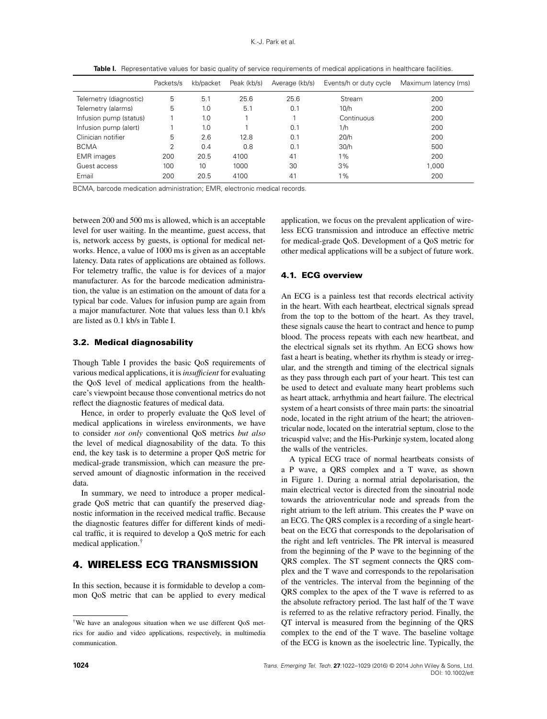|                        | Packets/s      | kb/packet | Peak (kb/s) | Average (kb/s) | Events/h or duty cycle | Maximum latency (ms) |
|------------------------|----------------|-----------|-------------|----------------|------------------------|----------------------|
| Telemetry (diagnostic) | 5              | 5.1       | 25.6        | 25.6           | Stream                 | 200                  |
| Telemetry (alarms)     | 5              | 1.0       | 5.1         | 0.1            | 10/h                   | 200                  |
| Infusion pump (status) |                | 1.0       |             |                | Continuous             | 200                  |
| Infusion pump (alert)  |                | 1.0       |             | 0.1            | 1/h                    | 200                  |
| Clinician notifier     | 5              | 2.6       | 12.8        | 0.1            | 20/h                   | 200                  |
| <b>BCMA</b>            | $\overline{2}$ | 0.4       | 0.8         | 0.1            | 30/h                   | 500                  |
| <b>EMR</b> images      | 200            | 20.5      | 4100        | 41             | $1\%$                  | 200                  |
| Guest access           | 100            | 10        | 1000        | 30             | 3%                     | 1.000                |
| Email                  | 200            | 20.5      | 4100        | 41             | $1\%$                  | 200                  |

<span id="page-2-1"></span>Table I. Representative values for basic quality of service requirements of medical applications in healthcare facilities.

BCMA, barcode medication administration; EMR, electronic medical records.

between 200 and 500 ms is allowed, which is an acceptable level for user waiting. In the meantime, guest access, that is, network access by guests, is optional for medical networks. Hence, a value of 1000 ms is given as an acceptable latency. Data rates of applications are obtained as follows. For telemetry traffic, the value is for devices of a major manufacturer. As for the barcode medication administration, the value is an estimation on the amount of data for a typical bar code. Values for infusion pump are again from a major manufacturer. Note that values less than 0.1 kb/s are listed as 0.1 kb/s in Table [I.](#page-2-1)

#### **3.2. Medical diagnosability**

Though Table [I](#page-2-1) provides the basic QoS requirements of various medical applications, it is*insufficient* for evaluating the QoS level of medical applications from the healthcare's viewpoint because those conventional metrics do not reflect the diagnostic features of medical data.

Hence, in order to properly evaluate the QoS level of medical applications in wireless environments, we have to consider *not only* conventional QoS metrics *but also* the level of medical diagnosability of the data. To this end, the key task is to determine a proper QoS metric for medical-grade transmission, which can measure the preserved amount of diagnostic information in the received data.

In summary, we need to introduce a proper medicalgrade QoS metric that can quantify the preserved diagnostic information in the received medical traffic. Because the diagnostic features differ for different kinds of medical traffic, it is required to develop a QoS metric for each medical application.[†](#page-2-2)

# <span id="page-2-0"></span>**4. WIRELESS ECG TRANSMISSION**

In this section, because it is formidable to develop a common QoS metric that can be applied to every medical application, we focus on the prevalent application of wireless ECG transmission and introduce an effective metric for medical-grade QoS. Development of a QoS metric for other medical applications will be a subject of future work.

#### **4.1. ECG overview**

An ECG is a painless test that records electrical activity in the heart. With each heartbeat, electrical signals spread from the top to the bottom of the heart. As they travel, these signals cause the heart to contract and hence to pump blood. The process repeats with each new heartbeat, and the electrical signals set its rhythm. An ECG shows how fast a heart is beating, whether its rhythm is steady or irregular, and the strength and timing of the electrical signals as they pass through each part of your heart. This test can be used to detect and evaluate many heart problems such as heart attack, arrhythmia and heart failure. The electrical system of a heart consists of three main parts: the sinoatrial node, located in the right atrium of the heart; the atrioventricular node, located on the interatrial septum, close to the tricuspid valve; and the His-Purkinje system, located along the walls of the ventricles.

A typical ECG trace of normal heartbeats consists of a P wave, a QRS complex and a T wave, as shown in Figure [1.](#page-3-0) During a normal atrial depolarisation, the main electrical vector is directed from the sinoatrial node towards the atrioventricular node and spreads from the right atrium to the left atrium. This creates the P wave on an ECG. The QRS complex is a recording of a single heartbeat on the ECG that corresponds to the depolarisation of the right and left ventricles. The PR interval is measured from the beginning of the P wave to the beginning of the QRS complex. The ST segment connects the QRS complex and the T wave and corresponds to the repolarisation of the ventricles. The interval from the beginning of the QRS complex to the apex of the T wave is referred to as the absolute refractory period. The last half of the T wave is referred to as the relative refractory period. Finally, the QT interval is measured from the beginning of the QRS complex to the end of the T wave. The baseline voltage of the ECG is known as the isoelectric line. Typically, the

<span id="page-2-2"></span><sup>†</sup>We have an analogous situation when we use different QoS metrics for audio and video applications, respectively, in multimedia communication.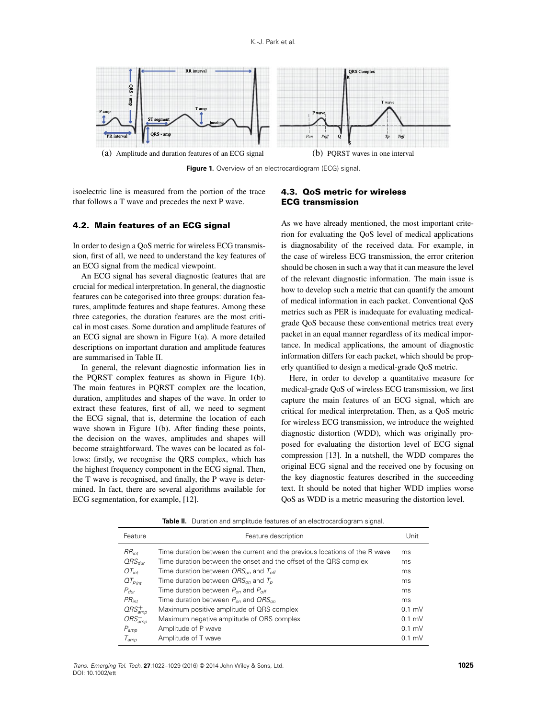

<span id="page-3-0"></span>**Figure 1.** Overview of an electrocardiogram (ECG) signal.

isoelectric line is measured from the portion of the trace that follows a T wave and precedes the next P wave.

#### **4.2. Main features of an ECG signal**

In order to design a QoS metric for wireless ECG transmission, first of all, we need to understand the key features of an ECG signal from the medical viewpoint.

An ECG signal has several diagnostic features that are crucial for medical interpretation. In general, the diagnostic features can be categorised into three groups: duration features, amplitude features and shape features. Among these three categories, the duration features are the most critical in most cases. Some duration and amplitude features of an ECG signal are shown in Figure [1\(](#page-3-0)a). A more detailed descriptions on important duration and amplitude features are summarised in Table [II.](#page-3-1)

In general, the relevant diagnostic information lies in the PQRST complex features as shown in Figure [1\(](#page-3-0)b). The main features in PQRST complex are the location, duration, amplitudes and shapes of the wave. In order to extract these features, first of all, we need to segment the ECG signal, that is, determine the location of each wave shown in Figure [1\(](#page-3-0)b). After finding these points, the decision on the waves, amplitudes and shapes will become straightforward. The waves can be located as follows: firstly, we recognise the QRS complex, which has the highest frequency component in the ECG signal. Then, the T wave is recognised, and finally, the P wave is determined. In fact, there are several algorithms available for ECG segmentation, for example, [\[12\]](#page-7-10).

#### **4.3. QoS metric for wireless ECG transmission**

As we have already mentioned, the most important criterion for evaluating the QoS level of medical applications is diagnosability of the received data. For example, in the case of wireless ECG transmission, the error criterion should be chosen in such a way that it can measure the level of the relevant diagnostic information. The main issue is how to develop such a metric that can quantify the amount of medical information in each packet. Conventional QoS metrics such as PER is inadequate for evaluating medicalgrade QoS because these conventional metrics treat every packet in an equal manner regardless of its medical importance. In medical applications, the amount of diagnostic information differs for each packet, which should be properly quantified to design a medical-grade QoS metric.

Here, in order to develop a quantitative measure for medical-grade QoS of wireless ECG transmission, we first capture the main features of an ECG signal, which are critical for medical interpretation. Then, as a QoS metric for wireless ECG transmission, we introduce the weighted diagnostic distortion (WDD), which was originally proposed for evaluating the distortion level of ECG signal compression [\[13\]](#page-7-11). In a nutshell, the WDD compares the original ECG signal and the received one by focusing on the key diagnostic features described in the succeeding text. It should be noted that higher WDD implies worse QoS as WDD is a metric measuring the distortion level.

<span id="page-3-1"></span>**Table II.** Duration and amplitude features of an electrocardiogram signal.

| Feature                           | Feature description                                                        | Unit     |
|-----------------------------------|----------------------------------------------------------------------------|----------|
| $RR_{int}$                        | Time duration between the current and the previous locations of the R wave | ms       |
| $QRS_{dur}$                       | Time duration between the onset and the offset of the QRS complex          | ms       |
| $QT_{int}$                        | Time duration between $QRS_{on}$ and $T_{off}$                             | ms       |
| $QT_{\rho_{int}}$                 | Time duration between $QRS_{on}$ and $T_p$                                 | ms       |
| $P_{dur}$                         | Time duration between $P_{\text{on}}$ and $P_{\text{off}}$                 | ms       |
| $PR_{int}$                        | Time duration between $P_{\alpha}$ and $QRS_{\alpha}$                      | ms       |
| $\textit{ORS}_{\textit{amp}}^{+}$ | Maximum positive amplitude of QRS complex                                  | $0.1$ mV |
| $ORS_{amp}^-$                     | Maximum negative amplitude of QRS complex                                  | $0.1$ mV |
| $P_{\text{amp}}$                  | Amplitude of P wave                                                        | $0.1$ mV |
| $\mathcal{T}_{\mathit{amo}}$      | Amplitude of T wave                                                        | $0.1$ mV |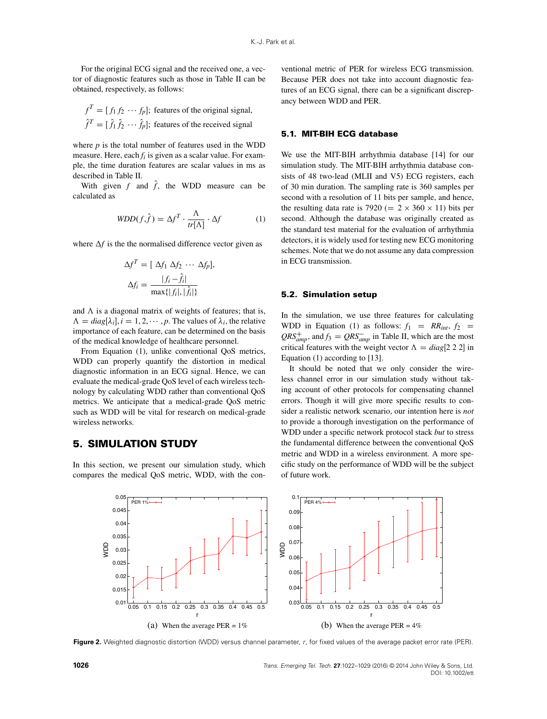For the original ECG signal and the received one, a vector of diagnostic features such as those in Table [II](#page-3-1) can be obtained, respectively, as follows:

 $f^T = [f_1 f_2 \cdots f_p]$ ; features of the original signal,  $\hat{f}^T = [\hat{f}_1 \hat{f}_2 \cdots \hat{f}_p]$ ; features of the received signal

where  $p$  is the total number of features used in the WDD measure. Here, each *fi* is given as a scalar value. For example, the time duration features are scalar values in ms as described in Table [II.](#page-3-1)

With given  $f$  and  $\hat{f}$ , the WDD measure can be calculated as

$$
WDD(f,\hat{f}) = \Delta f^T \cdot \frac{\Lambda}{tr[\Lambda]} \cdot \Delta f \tag{1}
$$

,

where  $\Delta f$  is the the normalised difference vector given as

$$
\Delta f^T = [\Delta f_1 \Delta f_2 \cdots \Delta f_p]
$$

$$
\Delta f_i = \frac{|f_i - \hat{f}_i|}{\max\{|f_i|, |\hat{f}_i|\}}
$$

and  $\Lambda$  is a diagonal matrix of weights of features; that is,  $\Lambda = diag[\lambda_i], i = 1, 2, \dots, p$ . The values of  $\lambda_i$ , the relative importance of each feature, can be determined on the basis of the medical knowledge of healthcare personnel.

From Equation [\(1\)](#page-4-1), unlike conventional QoS metrics, WDD can properly quantify the distortion in medical diagnostic information in an ECG signal. Hence, we can evaluate the medical-grade QoS level of each wireless technology by calculating WDD rather than conventional QoS metrics. We anticipate that a medical-grade QoS metric such as WDD will be vital for research on medical-grade wireless networks.

# <span id="page-4-0"></span>**5. SIMULATION STUDY**

In this section, we present our simulation study, which compares the medical QoS metric, WDD, with the con-

ventional metric of PER for wireless ECG transmission. Because PER does not take into account diagnostic features of an ECG signal, there can be a significant discrepancy between WDD and PER.

#### **5.1. MIT-BIH ECG database**

<span id="page-4-1"></span>We use the MIT-BIH arrhythmia database [\[14\]](#page-7-12) for our simulation study. The MIT-BIH arrhythmia database consists of 48 two-lead (MLII and V5) ECG registers, each of 30 min duration. The sampling rate is 360 samples per second with a resolution of 11 bits per sample, and hence, the resulting data rate is 7920 ( $= 2 \times 360 \times 11$ ) bits per second. Although the database was originally created as the standard test material for the evaluation of arrhythmia detectors, it is widely used for testing new ECG monitoring schemes. Note that we do not assume any data compression in ECG transmission.

#### **5.2. Simulation setup**

In the simulation, we use three features for calculating WDD in Equation [\(1\)](#page-4-1) as follows:  $f_1 = RR_{int}$ ,  $f_2 =$  $QRS_{amp}^+$ , and  $f_3 = QRS_{amp}^-$  in Table [II,](#page-3-1) which are the most critical features with the weight vector  $\Lambda = diag[2\ 2\ 2]$  in Equation [\(1\)](#page-4-1) according to [\[13\]](#page-7-11).

It should be noted that we only consider the wireless channel error in our simulation study without taking account of other protocols for compensating channel errors. Though it will give more specific results to consider a realistic network scenario, our intention here is *not* to provide a thorough investigation on the performance of WDD under a specific network protocol stack *but* to stress the fundamental difference between the conventional QoS metric and WDD in a wireless environment. A more specific study on the performance of WDD will be the subject of future work.



<span id="page-4-2"></span>**Figure 2.** Weighted diagnostic distortion (WDD) versus channel parameter, r, for fixed values of the average packet error rate (PER).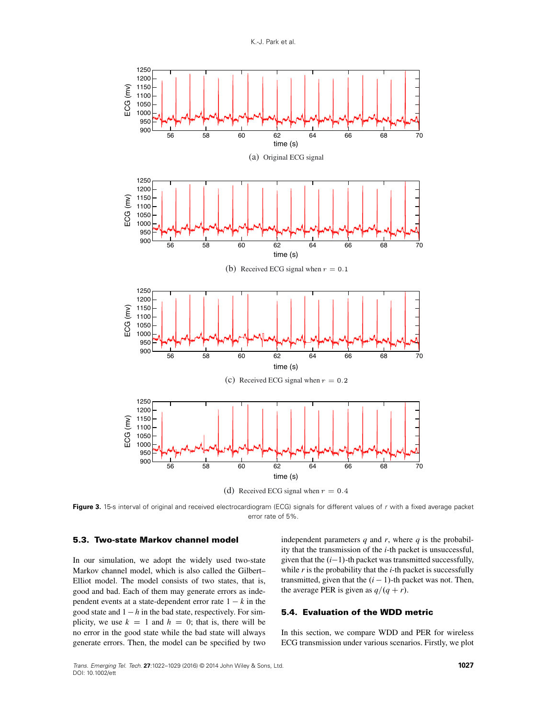

(d) Received ECG signal when  $r = 0.4$ 

<span id="page-5-0"></span>Figure 3. 15-s interval of original and received electrocardiogram (ECG) signals for different values of r with a fixed average packet error rate of 5%.

#### **5.3. Two-state Markov channel model**

In our simulation, we adopt the widely used two-state Markov channel model, which is also called the Gilbert– Elliot model. The model consists of two states, that is, good and bad. Each of them may generate errors as independent events at a state-dependent error rate  $1 - k$  in the good state and  $1 - h$  in the bad state, respectively. For simplicity, we use  $k = 1$  and  $h = 0$ ; that is, there will be no error in the good state while the bad state will always generate errors. Then, the model can be specified by two independent parameters  $q$  and  $r$ , where  $q$  is the probability that the transmission of the *i*-th packet is unsuccessful, given that the  $(i-1)$ -th packet was transmitted successfully, while *r* is the probability that the *i*-th packet is successfully transmitted, given that the  $(i - 1)$ -th packet was not. Then, the average PER is given as  $q/(q + r)$ .

#### **5.4. Evaluation of the WDD metric**

In this section, we compare WDD and PER for wireless ECG transmission under various scenarios. Firstly, we plot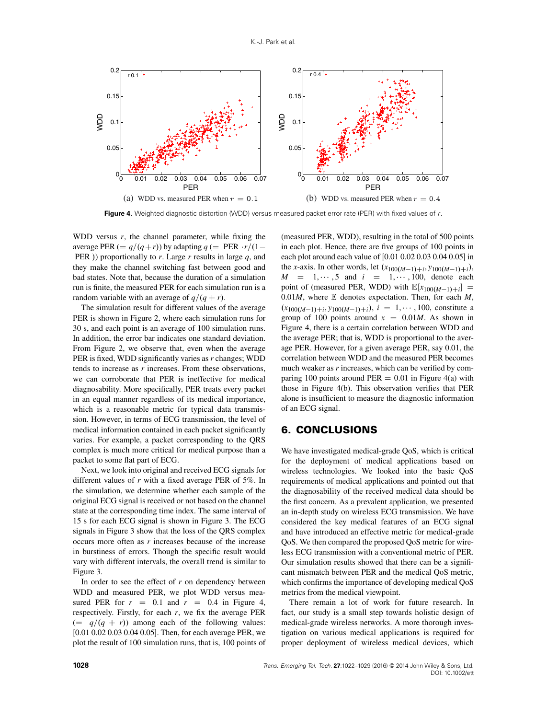

<span id="page-6-1"></span>**Figure 4.** Weighted diagnostic distortion (WDD) versus measured packet error rate (PER) with fixed values of <sup>r</sup>.

WDD versus  $r$ , the channel parameter, while fixing the average PER ( $= q/(q+r)$ ) by adapting  $q (=$  PER  $\cdot r/(1-r)$ PER /) proportionally to *r*. Large *r* results in large *q*, and they make the channel switching fast between good and bad states. Note that, because the duration of a simulation run is finite, the measured PER for each simulation run is a random variable with an average of  $q/(q + r)$ .

The simulation result for different values of the average PER is shown in Figure [2,](#page-4-2) where each simulation runs for 30 s, and each point is an average of 100 simulation runs. In addition, the error bar indicates one standard deviation. From Figure [2,](#page-4-2) we observe that, even when the average PER is fixed, WDD significantly varies as *r* changes; WDD tends to increase as *r* increases. From these observations, we can corroborate that PER is ineffective for medical diagnosability. More specifically, PER treats every packet in an equal manner regardless of its medical importance, which is a reasonable metric for typical data transmission. However, in terms of ECG transmission, the level of medical information contained in each packet significantly varies. For example, a packet corresponding to the QRS complex is much more critical for medical purpose than a packet to some flat part of ECG.

Next, we look into original and received ECG signals for different values of *r* with a fixed average PER of 5%. In the simulation, we determine whether each sample of the original ECG signal is received or not based on the channel state at the corresponding time index. The same interval of 15 s for each ECG signal is shown in Figure [3.](#page-5-0) The ECG signals in Figure [3](#page-5-0) show that the loss of the QRS complex occurs more often as *r* increases because of the increase in burstiness of errors. Though the specific result would vary with different intervals, the overall trend is similar to Figure [3.](#page-5-0)

In order to see the effect of *r* on dependency between WDD and measured PER, we plot WDD versus measured PER for  $r = 0.1$  and  $r = 0.4$  in Figure [4,](#page-6-1) respectively. Firstly, for each *r*, we fix the average PER  $(= q/(q + r))$  among each of the following values: [0.01 0.02 0.03 0.04 0.05]. Then, for each average PER, we plot the result of 100 simulation runs, that is, 100 points of (measured PER, WDD), resulting in the total of 500 points in each plot. Hence, there are five groups of 100 points in each plot around each value of [0.01 0.02 0.03 0.04 0.05] in the *x*-axis. In other words, let  $(x_{100(M-1)+i}, y_{100(M-1)+i})$ ,  $M = 1, \dots, 5$  and  $i = 1, \dots, 100$ , denote each point of (measured PER, WDD) with  $\mathbb{E}[x_{100(M-1)+i}] =$ 0.01*M*, where E denotes expectation. Then, for each *M*,  $(x_{100(M-1)+i}, y_{100(M-1)+i}), i = 1, \cdots, 100$ , constitute a group of 100 points around  $x = 0.01M$ . As shown in Figure [4,](#page-6-1) there is a certain correlation between WDD and the average PER; that is, WDD is proportional to the average PER. However, for a given average PER, say 0.01, the correlation between WDD and the measured PER becomes much weaker as *r* increases, which can be verified by comparing 100 points around PER  $= 0.01$  in Figure [4\(](#page-6-1)a) with those in Figure [4\(](#page-6-1)b). This observation verifies that PER alone is insufficient to measure the diagnostic information of an ECG signal.

### <span id="page-6-0"></span>**6. CONCLUSIONS**

We have investigated medical-grade QoS, which is critical for the deployment of medical applications based on wireless technologies. We looked into the basic QoS requirements of medical applications and pointed out that the diagnosability of the received medical data should be the first concern. As a prevalent application, we presented an in-depth study on wireless ECG transmission. We have considered the key medical features of an ECG signal and have introduced an effective metric for medical-grade QoS. We then compared the proposed QoS metric for wireless ECG transmission with a conventional metric of PER. Our simulation results showed that there can be a significant mismatch between PER and the medical QoS metric, which confirms the importance of developing medical QoS metrics from the medical viewpoint.

There remain a lot of work for future research. In fact, our study is a small step towards holistic design of medical-grade wireless networks. A more thorough investigation on various medical applications is required for proper deployment of wireless medical devices, which